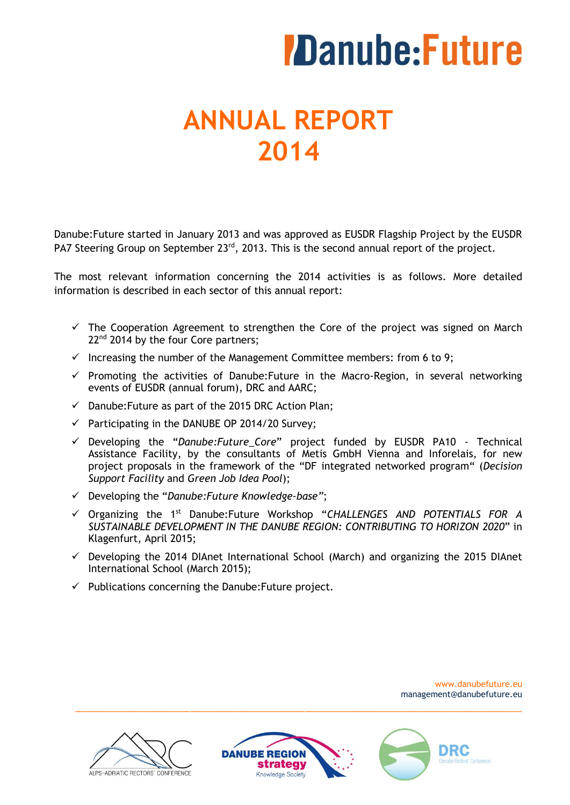# **ANNUAL REPORT 2014**

Danube:Future started in January 2013 and was approved as EUSDR Flagship Project by the EUSDR PA7 Steering Group on September 23<sup>rd</sup>, 2013. This is the second annual report of the project.

The most relevant information concerning the 2014 activities is as follows. More detailed information is described in each sector of this annual report:

- $\checkmark$  The Cooperation Agreement to strengthen the Core of the project was signed on March 22<sup>nd</sup> 2014 by the four Core partners;
- $\checkmark$  Increasing the number of the Management Committee members: from 6 to 9;
- $\checkmark$  Promoting the activities of Danube: Future in the Macro-Region, in several networking events of EUSDR (annual forum), DRC and AARC;
- $\checkmark$  Danube: Future as part of the 2015 DRC Action Plan;
- $\checkmark$  Participating in the DANUBE OP 2014/20 Survey;
- Developing the "*Danube:Future\_Core*" project funded by EUSDR PA10 Technical Assistance Facility, by the consultants of Metis GmbH Vienna and Inforelais, for new project proposals in the framework of the "DF integrated networked program" (*Decision Support Facility* and *Green Job Idea Pool*);
- Developing the "*Danube:Future Knowledge-base"*;
- Organizing the 1 st Danube:Future Workshop "*CHALLENGES AND POTENTIALS FOR A SUSTAINABLE DEVELOPMENT IN THE DANUBE REGION: CONTRIBUTING TO HORIZON 2020*" in Klagenfurt, April 2015;
- $\checkmark$  Developing the 2014 DIAnet International School (March) and organizing the 2015 DIAnet International School (March 2015);
- $\checkmark$  Publications concerning the Danube: Future project.





\_\_\_\_\_\_\_\_\_\_\_\_\_\_\_\_\_\_\_\_\_\_\_\_\_\_\_\_\_\_\_\_\_\_\_\_\_\_\_\_\_\_\_\_\_\_\_\_\_\_\_\_\_\_\_\_\_\_\_\_\_\_\_\_\_\_\_\_\_\_\_\_\_\_\_\_\_\_\_\_\_\_\_\_\_\_\_\_\_\_\_\_\_\_\_\_\_\_\_\_\_\_\_\_\_

www.danubefuture.eu management@danubefuture.eu

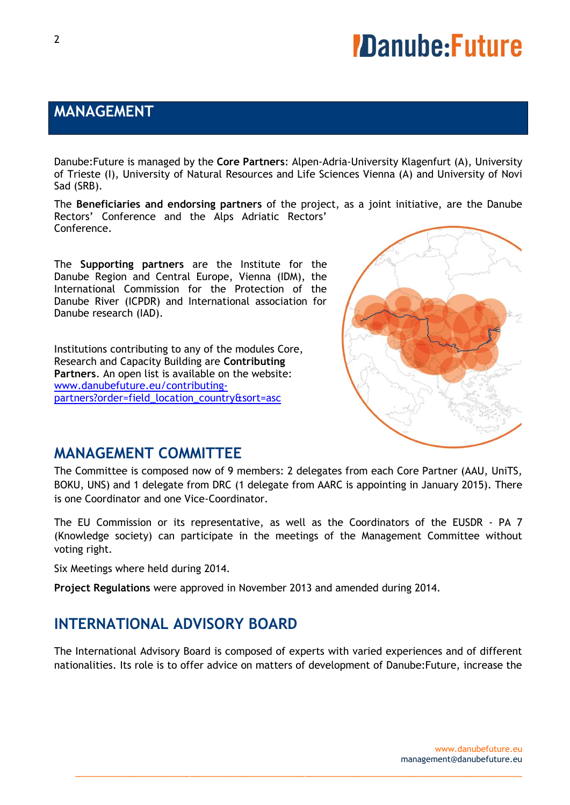### **MANAGEMENT**

Danube:Future is managed by the **Core Partners**: Alpen-Adria-University Klagenfurt (A), University of Trieste (I), University of Natural Resources and Life Sciences Vienna (A) and University of Novi Sad (SRB).

The **Beneficiaries and endorsing partners** of the project, as a joint initiative, are the Danube Rectors' Conference and the Alps Adriatic Rectors' Conference.

The **Supporting partners** are the Institute for the Danube Region and Central Europe, Vienna (IDM), the International Commission for the Protection of the Danube River (ICPDR) and International association for Danube research (IAD).

Institutions contributing to any of the modules Core, Research and Capacity Building are **Contributing Partners**. An open list is available on the website: [www.danubefuture.eu/contributing](http://www.danubefuture.eu/contributing-partners?order=field_location_country&sort=asc)[partners?order=field\\_location\\_country&sort=asc](http://www.danubefuture.eu/contributing-partners?order=field_location_country&sort=asc)



### **MANAGEMENT COMMITTEE**

The Committee is composed now of 9 members: 2 delegates from each Core Partner (AAU, UniTS, BOKU, UNS) and 1 delegate from DRC (1 delegate from AARC is appointing in January 2015). There is one Coordinator and one Vice-Coordinator.

The EU Commission or its representative, as well as the Coordinators of the EUSDR - PA 7 (Knowledge society) can participate in the meetings of the Management Committee without voting right.

Six Meetings where held during 2014.

**Project Regulations** were approved in November 2013 and amended during 2014.

### **INTERNATIONAL ADVISORY BOARD**

The International Advisory Board is composed of experts with varied experiences and of different nationalities. Its role is to offer advice on matters of development of Danube:Future, increase the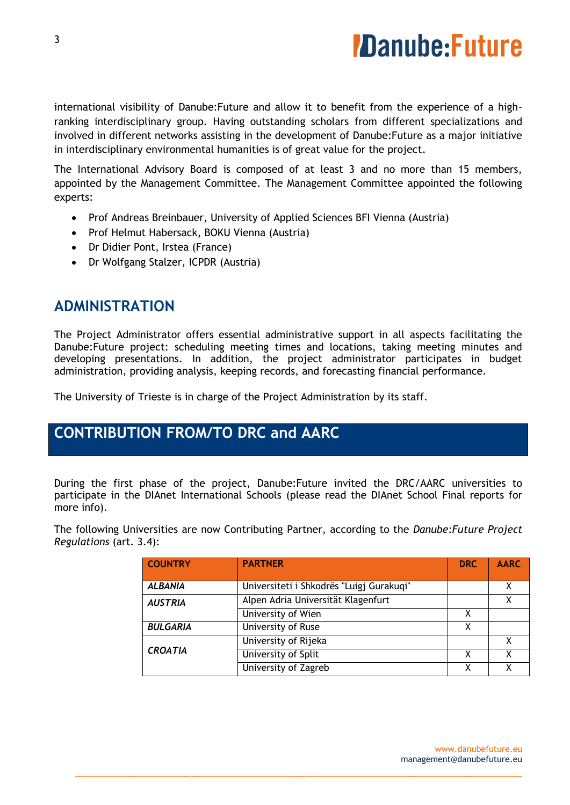

international visibility of Danube:Future and allow it to benefit from the experience of a highranking interdisciplinary group. Having outstanding scholars from different specializations and involved in different networks assisting in the development of Danube:Future as a major initiative in interdisciplinary environmental humanities is of great value for the project.

The International Advisory Board is composed of at least 3 and no more than 15 members, appointed by the Management Committee. The Management Committee appointed the following experts:

- Prof Andreas Breinbauer, University of Applied Sciences BFI Vienna (Austria)
- Prof Helmut Habersack, BOKU Vienna (Austria)
- Dr Didier Pont, Irstea (France)
- Dr Wolfgang Stalzer, ICPDR (Austria)

### **ADMINISTRATION**

The Project Administrator offers essential administrative support in all aspects facilitating the Danube:Future project: scheduling meeting times and locations, taking meeting minutes and developing presentations. In addition, the project administrator participates in budget administration, providing analysis, keeping records, and forecasting financial performance.

The University of Trieste is in charge of the Project Administration by its staff.

### **CONTRIBUTION FROM/TO DRC and AARC**

During the first phase of the project, Danube:Future invited the DRC/AARC universities to participate in the DIAnet International Schools (please read the DIAnet School Final reports for more info).

The following Universities are now Contributing Partner, according to the *Danube:Future Project Regulations* (art. 3.4):

| <b>COUNTRY</b>  | <b>PARTNER</b>                           | <b>DRC</b> | <b>AARC</b> |
|-----------------|------------------------------------------|------------|-------------|
|                 |                                          |            |             |
| <b>ALBANIA</b>  | Universiteti i Shkodrës "Luigj Gurakuqi" |            |             |
| <b>AUSTRIA</b>  | Alpen Adria Universität Klagenfurt       |            |             |
|                 | University of Wien                       | x          |             |
| <b>BULGARIA</b> | University of Ruse                       | X          |             |
| <b>CROATIA</b>  | University of Rijeka                     |            | X           |
|                 | University of Split                      | х          | χ           |
|                 | University of Zagreb                     |            | X           |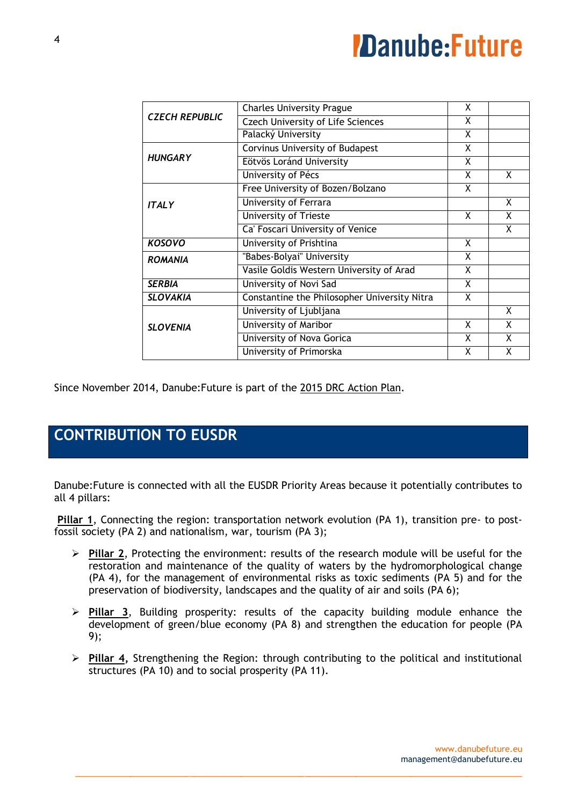| <b>Charles University Prague</b>             | X |   |
|----------------------------------------------|---|---|
| <b>Czech University of Life Sciences</b>     | X |   |
| Palacký University                           | X |   |
| Corvinus University of Budapest              | X |   |
| Eötvös Loránd University                     | X |   |
| University of Pécs                           | X | X |
| Free University of Bozen/Bolzano             | X |   |
| University of Ferrara                        |   | X |
| University of Trieste                        | X | X |
| Ca' Foscari University of Venice             |   | X |
| University of Prishtina                      | X |   |
| "Babes-Bolyai" University                    | X |   |
| Vasile Goldis Western University of Arad     | X |   |
| University of Novi Sad                       | X |   |
| Constantine the Philosopher University Nitra | X |   |
| University of Ljubljana                      |   | X |
| University of Maribor                        | X | X |
|                                              |   |   |
| University of Nova Gorica                    | X | X |
|                                              |   |   |

Since November 2014, Danube:Future is part of the 2015 DRC Action Plan.

## **CONTRIBUTION TO EUSDR**

Danube:Future is connected with all the EUSDR Priority Areas because it potentially contributes to all 4 pillars:

**Pillar 1**, Connecting the region: transportation network evolution (PA 1), transition pre- to postfossil society (PA 2) and nationalism, war, tourism (PA 3);

- **Pillar 2**, Protecting the environment: results of the research module will be useful for the restoration and maintenance of the quality of waters by the hydromorphological change (PA 4), for the management of environmental risks as toxic sediments (PA 5) and for the preservation of biodiversity, landscapes and the quality of air and soils (PA 6);
- **Pillar 3**, Building prosperity: results of the capacity building module enhance the development of green/blue economy (PA 8) and strengthen the education for people (PA 9);
- **Pillar 4,** Strengthening the Region: through contributing to the political and institutional structures (PA 10) and to social prosperity (PA 11).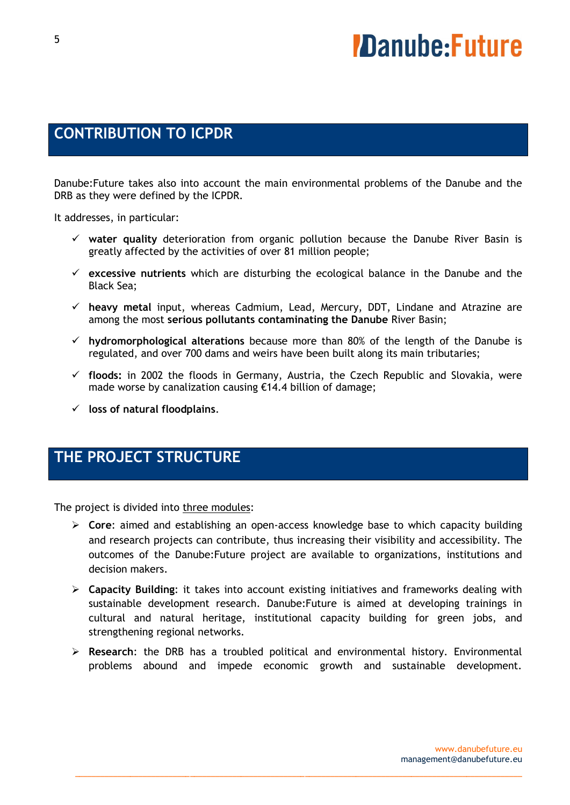### **CONTRIBUTION TO ICPDR**

Danube:Future takes also into account the main environmental problems of the Danube and the DRB as they were defined by the ICPDR.

It addresses, in particular:

- **water quality** deterioration from organic pollution because the Danube River Basin is greatly affected by the activities of over 81 million people;
- **excessive nutrients** which are disturbing the ecological balance in the Danube and the Black Sea;
- **heavy metal** input, whereas Cadmium, Lead, Mercury, DDT, Lindane and Atrazine are among the most **serious pollutants contaminating the Danube** River Basin;
- **hydromorphological alterations** because more than 80% of the length of the Danube is regulated, and over 700 dams and weirs have been built along its main tributaries;
- **floods:** in 2002 the floods in Germany, Austria, the Czech Republic and Slovakia, were made worse by canalization causing €14.4 billion of damage;
- **loss of natural floodplains**.

### **THE PROJECT STRUCTURE**

The project is divided into three modules:

- **Core**: aimed and establishing an open-access knowledge base to which capacity building and research projects can contribute, thus increasing their visibility and accessibility. The outcomes of the Danube:Future project are available to organizations, institutions and decision makers.
- **Capacity Building**: it takes into account existing initiatives and frameworks dealing with sustainable development research. Danube:Future is aimed at developing trainings in cultural and natural heritage, institutional capacity building for green jobs, and strengthening regional networks.
- **Research**: the DRB has a troubled political and environmental history. Environmental problems abound and impede economic growth and sustainable development.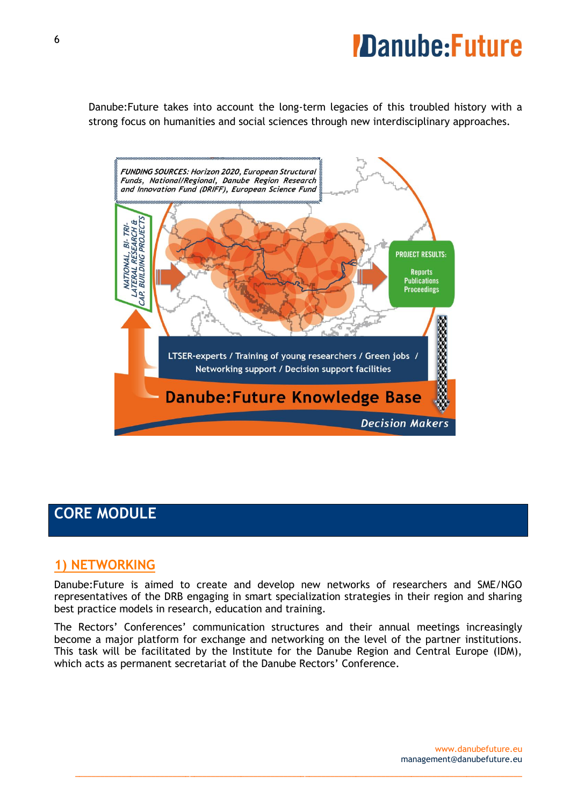Danube:Future takes into account the long-term legacies of this troubled history with a strong focus on humanities and social sciences through new interdisciplinary approaches.



### **CORE MODULE**

### **1) NETWORKING**

Danube:Future is aimed to create and develop new networks of researchers and SME/NGO representatives of the DRB engaging in smart specialization strategies in their region and sharing best practice models in research, education and training.

The Rectors' Conferences' communication structures and their annual meetings increasingly become a major platform for exchange and networking on the level of the partner institutions. This task will be facilitated by the Institute for the Danube Region and Central Europe (IDM), which acts as permanent secretariat of the Danube Rectors' Conference.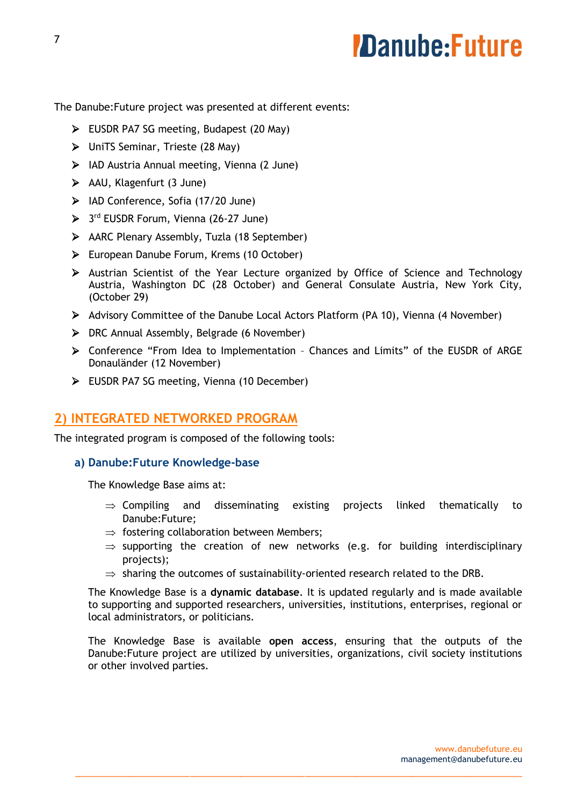The Danube:Future project was presented at different events:

- EUSDR PA7 SG meeting, Budapest (20 May)
- UniTS Seminar, Trieste (28 May)
- $\triangleright$  IAD Austria Annual meeting, Vienna (2 June)
- $\triangleright$  AAU, Klagenfurt (3 June)
- $\triangleright$  IAD Conference, Sofia (17/20 June)
- > 3<sup>rd</sup> EUSDR Forum, Vienna (26-27 June)
- AARC Plenary Assembly, Tuzla (18 September)
- European Danube Forum, Krems (10 October)
- $\triangleright$  Austrian Scientist of the Year Lecture organized by Office of Science and Technology Austria, Washington DC (28 October) and General Consulate Austria, New York City, (October 29)
- Advisory Committee of the Danube Local Actors Platform (PA 10), Vienna (4 November)
- $\triangleright$  DRC Annual Assembly, Belgrade (6 November)
- Conference "From Idea to Implementation Chances and Limits" of the EUSDR of ARGE Donauländer (12 November)
- EUSDR PA7 SG meeting, Vienna (10 December)

#### **2) INTEGRATED NETWORKED PROGRAM**

The integrated program is composed of the following tools:

#### **a) Danube:Future Knowledge-base**

The Knowledge Base aims at:

- $\Rightarrow$  Compiling and disseminating existing projects linked thematically to Danube:Future;
- $\Rightarrow$  fostering collaboration between Members;
- $\Rightarrow$  supporting the creation of new networks (e.g. for building interdisciplinary projects);
- $\Rightarrow$  sharing the outcomes of sustainability-oriented research related to the DRB.

The Knowledge Base is a **dynamic database**. It is updated regularly and is made available to supporting and supported researchers, universities, institutions, enterprises, regional or local administrators, or politicians.

The Knowledge Base is available **open access**, ensuring that the outputs of the Danube:Future project are utilized by universities, organizations, civil society institutions or other involved parties.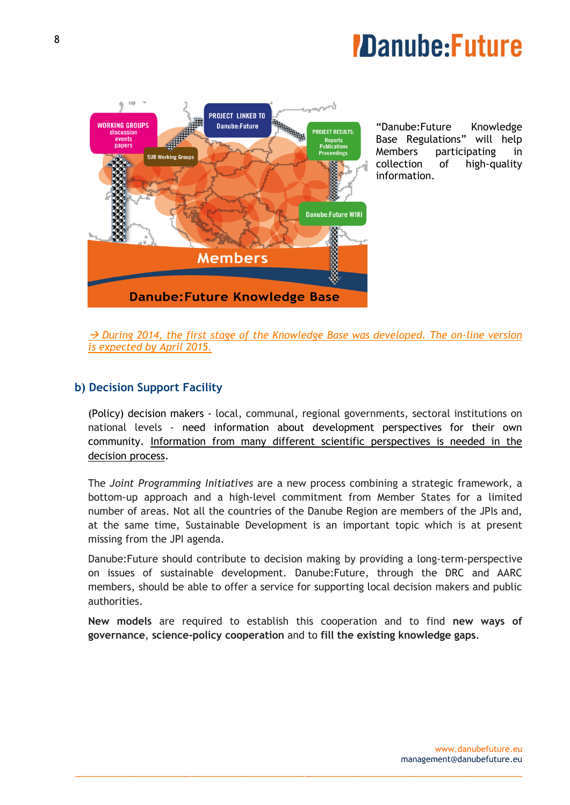

"Danube:Future Knowledge Base Regulations" will help Members participating in collection of high-quality information.

 *During 2014, the first stage of the Knowledge Base was developed. The on-line version is expected by April 2015.*

#### **b) Decision Support Facility**

(Policy) decision makers - local, communal, regional governments, sectoral institutions on national levels - need information about development perspectives for their own community. Information from many different scientific perspectives is needed in the decision process.

The *Joint Programming Initiatives* are a new process combining a strategic framework, a bottom-up approach and a high-level commitment from Member States for a limited number of areas. Not all the countries of the Danube Region are members of the JPIs and, at the same time, Sustainable Development is an important topic which is at present missing from the JPI agenda.

Danube:Future should contribute to decision making by providing a long-term-perspective on issues of sustainable development. Danube:Future, through the DRC and AARC members, should be able to offer a service for supporting local decision makers and public authorities.

**New models** are required to establish this cooperation and to find **new ways of governance**, **science-policy cooperation** and to **fill the existing knowledge gaps**.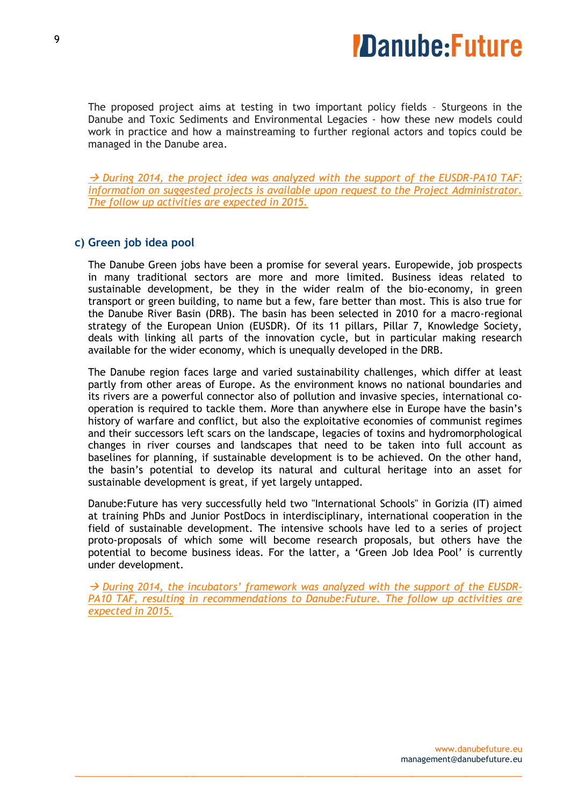

The proposed project aims at testing in two important policy fields – Sturgeons in the Danube and Toxic Sediments and Environmental Legacies - how these new models could work in practice and how a mainstreaming to further regional actors and topics could be managed in the Danube area.

 *During 2014, the project idea was analyzed with the support of the EUSDR-PA10 TAF: information on suggested projects is available upon request to the Project Administrator. The follow up activities are expected in 2015.*

#### **c) Green job idea pool**

The Danube Green jobs have been a promise for several years. Europewide, job prospects in many traditional sectors are more and more limited. Business ideas related to sustainable development, be they in the wider realm of the bio-economy, in green transport or green building, to name but a few, fare better than most. This is also true for the Danube River Basin (DRB). The basin has been selected in 2010 for a macro-regional strategy of the European Union (EUSDR). Of its 11 pillars, Pillar 7, Knowledge Society, deals with linking all parts of the innovation cycle, but in particular making research available for the wider economy, which is unequally developed in the DRB.

The Danube region faces large and varied sustainability challenges, which differ at least partly from other areas of Europe. As the environment knows no national boundaries and its rivers are a powerful connector also of pollution and invasive species, international cooperation is required to tackle them. More than anywhere else in Europe have the basin's history of warfare and conflict, but also the exploitative economies of communist regimes and their successors left scars on the landscape, legacies of toxins and hydromorphological changes in river courses and landscapes that need to be taken into full account as baselines for planning, if sustainable development is to be achieved. On the other hand, the basin's potential to develop its natural and cultural heritage into an asset for sustainable development is great, if yet largely untapped.

Danube:Future has very successfully held two "International Schools" in Gorizia (IT) aimed at training PhDs and Junior PostDocs in interdisciplinary, international cooperation in the field of sustainable development. The intensive schools have led to a series of project proto-proposals of which some will become research proposals, but others have the potential to become business ideas. For the latter, a 'Green Job Idea Pool' is currently under development.

 $\rightarrow$  During 2014, the incubators' framework was analyzed with the support of the EUSDR-*PA10 TAF, resulting in recommendations to Danube:Future. The follow up activities are expected in 2015.*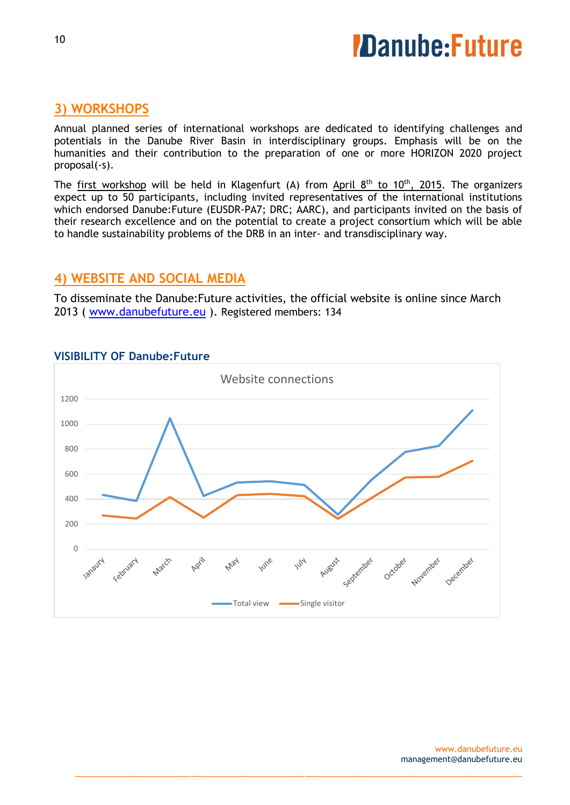#### **3) WORKSHOPS**

Annual planned series of international workshops are dedicated to identifying challenges and potentials in the Danube River Basin in interdisciplinary groups. Emphasis will be on the humanities and their contribution to the preparation of one or more HORIZON 2020 project proposal(-s).

The first workshop will be held in Klagenfurt (A) from April  $8<sup>th</sup>$  to  $10<sup>th</sup>$ , 2015. The organizers expect up to 50 participants, including invited representatives of the international institutions which endorsed Danube: Future (EUSDR-PA7; DRC; AARC), and participants invited on the basis of their research excellence and on the potential to create a project consortium which will be able to handle sustainability problems of the DRB in an inter- and transdisciplinary way.

#### **4) WEBSITE AND SOCIAL MEDIA**

To disseminate the Danube:Future activities, the official website is online since March 2013 ( [www.danubefuture.eu](http://www.danubefuture.eu/) ). Registered members: 134



\_\_\_\_\_\_\_\_\_\_\_\_\_\_\_\_\_\_\_\_\_\_\_\_\_\_\_\_\_\_\_\_\_\_\_\_\_\_\_\_\_\_\_\_\_\_\_\_\_\_\_\_\_\_\_\_\_\_\_\_\_\_\_\_\_\_\_\_\_\_\_\_\_\_\_\_\_\_\_\_\_\_\_\_\_\_\_\_\_\_\_\_\_\_\_\_\_\_\_\_\_\_\_\_\_

#### **VISIBILITY OF Danube:Future**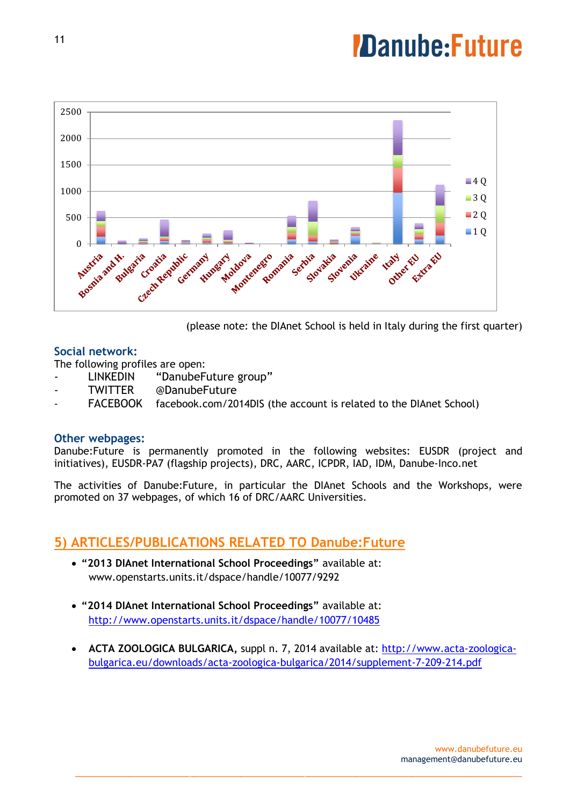

(please note: the DIAnet School is held in Italy during the first quarter)

#### **Social network:**

The following profiles are open:

- LINKEDIN "DanubeFuture group"
- TWITTER @DanubeFuture
- FACEBOOK [facebook.com/2014DIS](http://www.facebook.com/2014DIS) (the account is related to the DIAnet School)

#### **Other webpages:**

Danube:Future is permanently promoted in the following websites: EUSDR (project and initiatives), EUSDR-PA7 (flagship projects), DRC, AARC, ICPDR, IAD, IDM, Danube-Inco.net

The activities of Danube:Future, in particular the DIAnet Schools and the Workshops, were promoted on 37 webpages, of which 16 of DRC/AARC Universities.

### **5) ARTICLES/PUBLICATIONS RELATED TO Danube:Future**

- **"2013 DIAnet International School Proceedings"** available at: [www.openstarts.units.it/dspace/handle/10077/9292](http://www.openstarts.units.it/dspace/handle/10077/9292)
- **"2014 DIAnet International School Proceedings"** available at: <http://www.openstarts.units.it/dspace/handle/10077/10485>
- **ACTA ZOOLOGICA BULGARICA,** suppl n. 7, 2014 available at: [http://www.acta-zoologica](http://www.acta-zoologica-bulgarica.eu/downloads/acta-zoologica-bulgarica/2014/supplement-7-209-214.pdf)[bulgarica.eu/downloads/acta-zoologica-bulgarica/2014/supplement-7-209-214.pdf](http://www.acta-zoologica-bulgarica.eu/downloads/acta-zoologica-bulgarica/2014/supplement-7-209-214.pdf)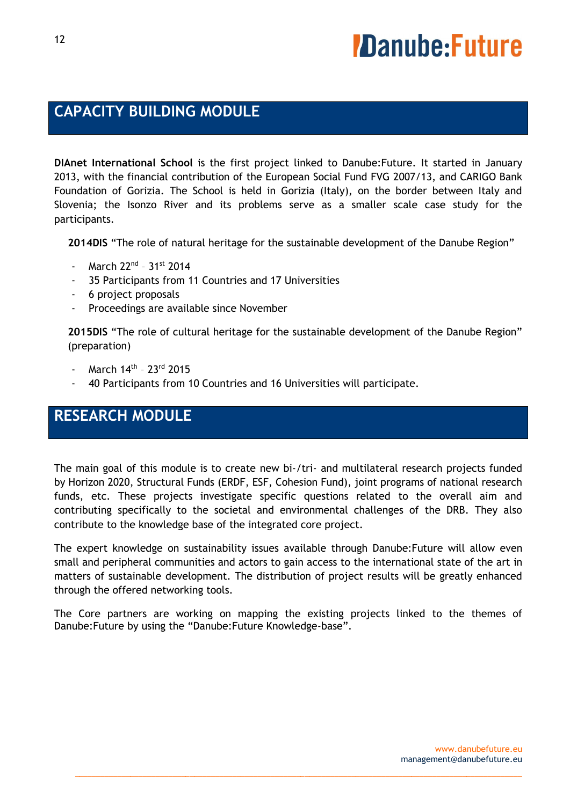### **CAPACITY BUILDING MODULE**

**DIAnet International School** is the first project linked to Danube:Future. It started in January 2013, with the financial contribution of the European Social Fund FVG 2007/13, and CARIGO Bank Foundation of Gorizia. The School is held in Gorizia (Italy), on the border between Italy and Slovenia; the Isonzo River and its problems serve as a smaller scale case study for the participants.

**2014DIS** "The role of natural heritage for the sustainable development of the Danube Region"

- March 22<sup>nd</sup> 31st 2014
- 35 Participants from 11 Countries and 17 Universities
- 6 project proposals
- Proceedings are available since November

**2015DIS** "The role of cultural heritage for the sustainable development of the Danube Region" (preparation)

- March 14<sup>th</sup> 23<sup>rd</sup> 2015
- 40 Participants from 10 Countries and 16 Universities will participate.

## **RESEARCH MODULE**

The main goal of this module is to create new bi-/tri- and multilateral research projects funded by Horizon 2020, Structural Funds (ERDF, ESF, Cohesion Fund), joint programs of national research funds, etc. These projects investigate specific questions related to the overall aim and contributing specifically to the societal and environmental challenges of the DRB. They also contribute to the knowledge base of the integrated core project.

The expert knowledge on sustainability issues available through Danube:Future will allow even small and peripheral communities and actors to gain access to the international state of the art in matters of sustainable development. The distribution of project results will be greatly enhanced through the offered networking tools.

The Core partners are working on mapping the existing projects linked to the themes of Danube:Future by using the "Danube:Future Knowledge-base".